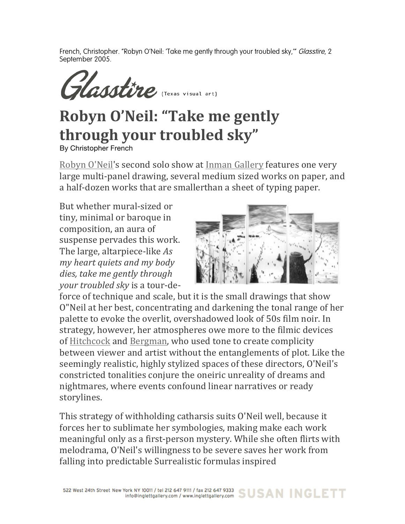French, Christopher. "Robyn O'Neil: 'Take me gently through your troubled sky," Glasstire, 2 September 2005.

Glasstire (Texas visual art)

## **Robyn O'Neil: "Take me gently** through your troubled sky"

By Christopher French

Robyn O'Neil's second solo show at Inman Gallery features one very large multi-panel drawing, several medium sized works on paper, and a half-dozen works that are smallerthan a sheet of typing paper.

But whether mural-sized or tiny, minimal or baroque in composition, an aura of suspense pervades this work. The large, altarpiece-like *As my heart quiets and my body dies, take me gently through your troubled sky is a tour-de-*



force of technique and scale, but it is the small drawings that show O"Neil at her best, concentrating and darkening the tonal range of her palette to evoke the overlit, overshadowed look of 50s film noir. In strategy, however, her atmospheres owe more to the filmic devices of Hitchcock and Bergman, who used tone to create complicity between viewer and artist without the entanglements of plot. Like the seemingly realistic, highly stylized spaces of these directors, O'Neil's constricted tonalities conjure the oneiric unreality of dreams and nightmares, where events confound linear narratives or ready storylines.

This strategy of withholding catharsis suits O'Neil well, because it forces her to sublimate her symbologies, making make each work meaningful only as a first-person mystery. While she often flirts with melodrama, O'Neil's willingness to be severe saves her work from falling into predictable Surrealistic formulas inspired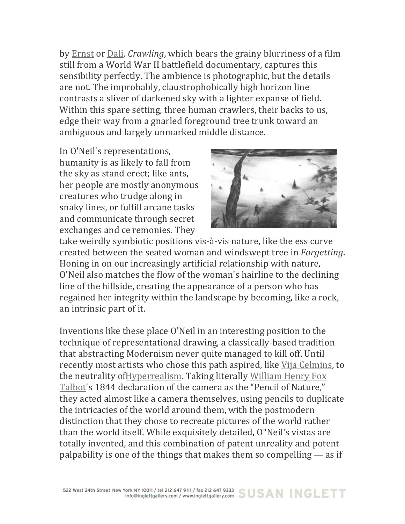by Ernst or Dali. Crawling, which bears the grainy blurriness of a film still from a World War II battlefield documentary, captures this sensibility perfectly. The ambience is photographic, but the details are not. The improbably, claustrophobically high horizon line contrasts a sliver of darkened sky with a lighter expanse of field. Within this spare setting, three human crawlers, their backs to us, edge their way from a gnarled foreground tree trunk toward an ambiguous and largely unmarked middle distance.

In O'Neil's representations, humanity is as likely to fall from the sky as stand erect; like ants, her people are mostly anonymous creatures who trudge along in snaky lines, or fulfill arcane tasks and communicate through secret exchanges and ce remonies. They



take weirdly symbiotic positions vis-à-vis nature, like the ess curve created between the seated woman and windswept tree in Forgetting. Honing in on our increasingly artificial relationship with nature, O'Neil also matches the flow of the woman's hairline to the declining line of the hillside, creating the appearance of a person who has regained her integrity within the landscape by becoming, like a rock, an intrinsic part of it.

Inventions like these place O'Neil in an interesting position to the technique of representational drawing, a classically-based tradition that abstracting Modernism never quite managed to kill off. Until recently most artists who chose this path aspired, like Vija Celmins, to the neutrality of Hyperrealism. Taking literally William Henry Fox Talbot's 1844 declaration of the camera as the "Pencil of Nature," they acted almost like a camera themselves, using pencils to duplicate the intricacies of the world around them, with the postmodern distinction that they chose to recreate pictures of the world rather than the world itself. While exquisitely detailed, O"Neil's vistas are totally invented, and this combination of patent unreality and potent palpability is one of the things that makes them so compelling  $-$  as if